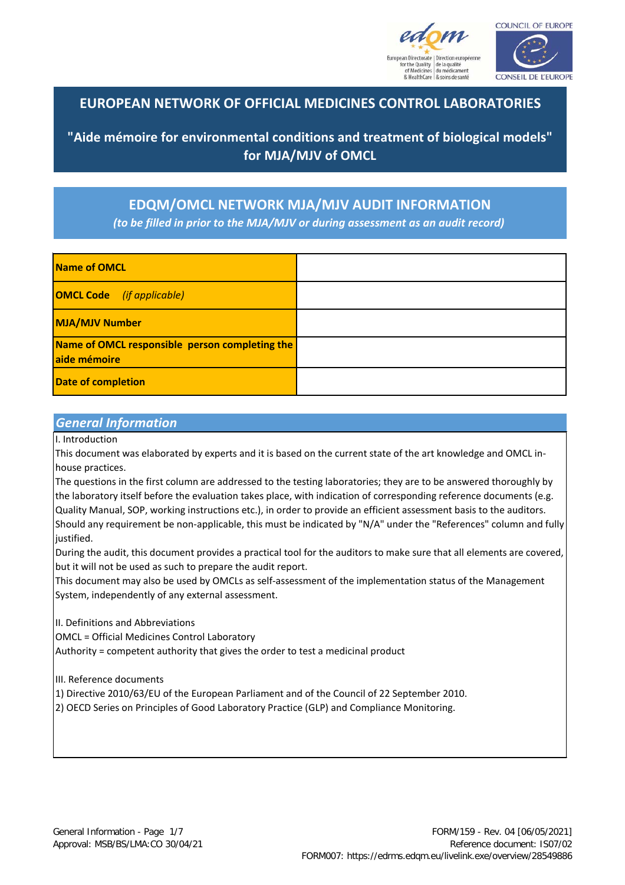



## **EUROPEAN NETWORK OF OFFICIAL MEDICINES CONTROL LABORATORIES**

**"Aide mémoire for environmental conditions and treatment of biological models" for MJA/MJV of OMCL**

**EDQM/OMCL NETWORK MJA/MJV AUDIT INFORMATION** *(to be filled in prior to the MJA/MJV or during assessment as an audit record)*

| Name of OMCL                                                   |  |
|----------------------------------------------------------------|--|
| <b>OMCL Code</b> (if applicable)                               |  |
| <b>MJA/MJV Number</b>                                          |  |
| Name of OMCL responsible person completing the<br>aide mémoire |  |
| <b>Date of completion</b>                                      |  |

## *General Information*

I. Introduction

This document was elaborated by experts and it is based on the current state of the art knowledge and OMCL inhouse practices.

The questions in the first column are addressed to the testing laboratories; they are to be answered thoroughly by the laboratory itself before the evaluation takes place, with indication of corresponding reference documents (e.g. Quality Manual, SOP, working instructions etc.), in order to provide an efficient assessment basis to the auditors. Should any requirement be non-applicable, this must be indicated by "N/A" under the "References" column and fully justified.

During the audit, this document provides a practical tool for the auditors to make sure that all elements are covered, but it will not be used as such to prepare the audit report.

This document may also be used by OMCLs as self-assessment of the implementation status of the Management System, independently of any external assessment.

II. Definitions and Abbreviations

OMCL = Official Medicines Control Laboratory

Authority = competent authority that gives the order to test a medicinal product

III. Reference documents

1) Directive 2010/63/EU of the European Parliament and of the Council of 22 September 2010.

2) OECD Series on Principles of Good Laboratory Practice (GLP) and Compliance Monitoring.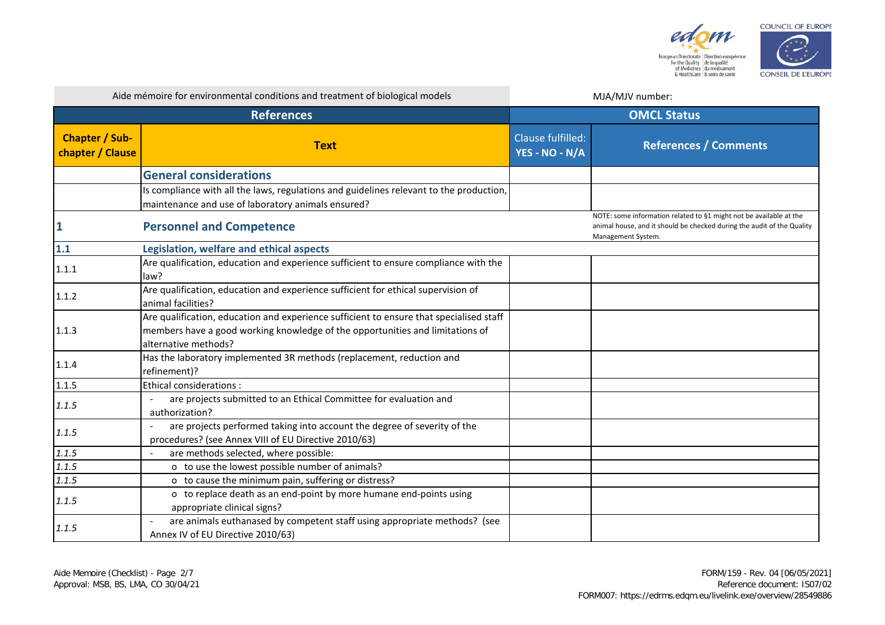

|                                           | Aide mémoire for environmental conditions and treatment of biological models                                                                                                                     |                                     | MJA/MJV number:                                                                                                                                                    |  |
|-------------------------------------------|--------------------------------------------------------------------------------------------------------------------------------------------------------------------------------------------------|-------------------------------------|--------------------------------------------------------------------------------------------------------------------------------------------------------------------|--|
| <b>References</b>                         |                                                                                                                                                                                                  | <b>OMCL Status</b>                  |                                                                                                                                                                    |  |
| <b>Chapter / Sub-</b><br>chapter / Clause | <b>Text</b>                                                                                                                                                                                      | Clause fulfilled:<br>YES - NO - N/A | <b>References / Comments</b>                                                                                                                                       |  |
|                                           | <b>General considerations</b>                                                                                                                                                                    |                                     |                                                                                                                                                                    |  |
|                                           | Is compliance with all the laws, regulations and guidelines relevant to the production,<br>maintenance and use of laboratory animals ensured?                                                    |                                     |                                                                                                                                                                    |  |
|                                           | <b>Personnel and Competence</b>                                                                                                                                                                  |                                     | NOTE: some information related to §1 might not be available at the<br>animal house, and it should be checked during the audit of the Quality<br>Management System. |  |
| 1.1                                       | Legislation, welfare and ethical aspects                                                                                                                                                         |                                     |                                                                                                                                                                    |  |
| 1.1.1                                     | Are qualification, education and experience sufficient to ensure compliance with the<br>law?                                                                                                     |                                     |                                                                                                                                                                    |  |
| 1.1.2                                     | Are qualification, education and experience sufficient for ethical supervision of<br>animal facilities?                                                                                          |                                     |                                                                                                                                                                    |  |
| 1.1.3                                     | Are qualification, education and experience sufficient to ensure that specialised staff<br>members have a good working knowledge of the opportunities and limitations of<br>alternative methods? |                                     |                                                                                                                                                                    |  |
| 1.1.4                                     | Has the laboratory implemented 3R methods (replacement, reduction and<br>refinement)?                                                                                                            |                                     |                                                                                                                                                                    |  |
| 1.1.5                                     | <b>Ethical considerations:</b>                                                                                                                                                                   |                                     |                                                                                                                                                                    |  |
| 1.1.5                                     | are projects submitted to an Ethical Committee for evaluation and<br>authorization?                                                                                                              |                                     |                                                                                                                                                                    |  |
| 1.1.5                                     | are projects performed taking into account the degree of severity of the<br>procedures? (see Annex VIII of EU Directive 2010/63)                                                                 |                                     |                                                                                                                                                                    |  |
| 1.1.5                                     | are methods selected, where possible:<br>$\sim$                                                                                                                                                  |                                     |                                                                                                                                                                    |  |
| 1.1.5                                     | o to use the lowest possible number of animals?                                                                                                                                                  |                                     |                                                                                                                                                                    |  |
| 1.1.5                                     | o to cause the minimum pain, suffering or distress?                                                                                                                                              |                                     |                                                                                                                                                                    |  |
| 1.1.5                                     | o to replace death as an end-point by more humane end-points using<br>appropriate clinical signs?                                                                                                |                                     |                                                                                                                                                                    |  |
| 1.1.5                                     | are animals euthanased by competent staff using appropriate methods? (see<br>Annex IV of EU Directive 2010/63)                                                                                   |                                     |                                                                                                                                                                    |  |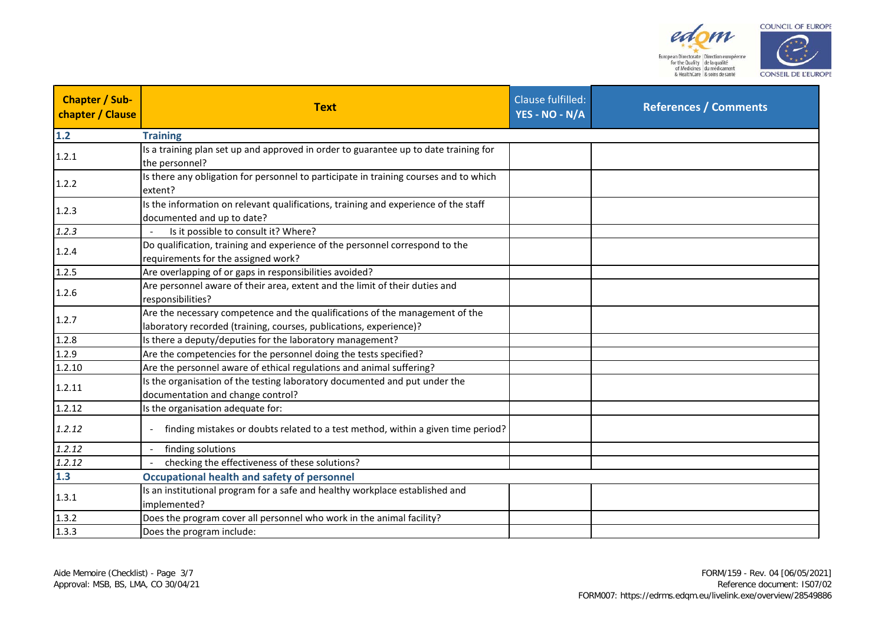



| <b>Chapter / Sub-</b><br>chapter / Clause | <b>Text</b>                                                                                                                                        | Clause fulfilled:<br>YES - NO - N/A | <b>References / Comments</b> |
|-------------------------------------------|----------------------------------------------------------------------------------------------------------------------------------------------------|-------------------------------------|------------------------------|
| $1.2$                                     | <b>Training</b>                                                                                                                                    |                                     |                              |
| 1.2.1                                     | Is a training plan set up and approved in order to guarantee up to date training for<br>the personnel?                                             |                                     |                              |
| 1.2.2                                     | Is there any obligation for personnel to participate in training courses and to which<br>extent?                                                   |                                     |                              |
| 1.2.3                                     | Is the information on relevant qualifications, training and experience of the staff<br>documented and up to date?                                  |                                     |                              |
| 1.2.3                                     | Is it possible to consult it? Where?                                                                                                               |                                     |                              |
| 1.2.4                                     | Do qualification, training and experience of the personnel correspond to the<br>requirements for the assigned work?                                |                                     |                              |
| 1.2.5                                     | Are overlapping of or gaps in responsibilities avoided?                                                                                            |                                     |                              |
| 1.2.6                                     | Are personnel aware of their area, extent and the limit of their duties and<br>responsibilities?                                                   |                                     |                              |
| 1.2.7                                     | Are the necessary competence and the qualifications of the management of the<br>laboratory recorded (training, courses, publications, experience)? |                                     |                              |
| 1.2.8                                     | Is there a deputy/deputies for the laboratory management?                                                                                          |                                     |                              |
| 1.2.9                                     | Are the competencies for the personnel doing the tests specified?                                                                                  |                                     |                              |
| 1.2.10                                    | Are the personnel aware of ethical regulations and animal suffering?                                                                               |                                     |                              |
| 1.2.11                                    | Is the organisation of the testing laboratory documented and put under the<br>documentation and change control?                                    |                                     |                              |
| 1.2.12                                    | Is the organisation adequate for:                                                                                                                  |                                     |                              |
| 1.2.12                                    | finding mistakes or doubts related to a test method, within a given time period?                                                                   |                                     |                              |
| 1.2.12                                    | finding solutions                                                                                                                                  |                                     |                              |
| 1.2.12                                    | checking the effectiveness of these solutions?                                                                                                     |                                     |                              |
| 1.3                                       | <b>Occupational health and safety of personnel</b>                                                                                                 |                                     |                              |
| 1.3.1                                     | Is an institutional program for a safe and healthy workplace established and<br>implemented?                                                       |                                     |                              |
| 1.3.2                                     | Does the program cover all personnel who work in the animal facility?                                                                              |                                     |                              |
| 1.3.3                                     | Does the program include:                                                                                                                          |                                     |                              |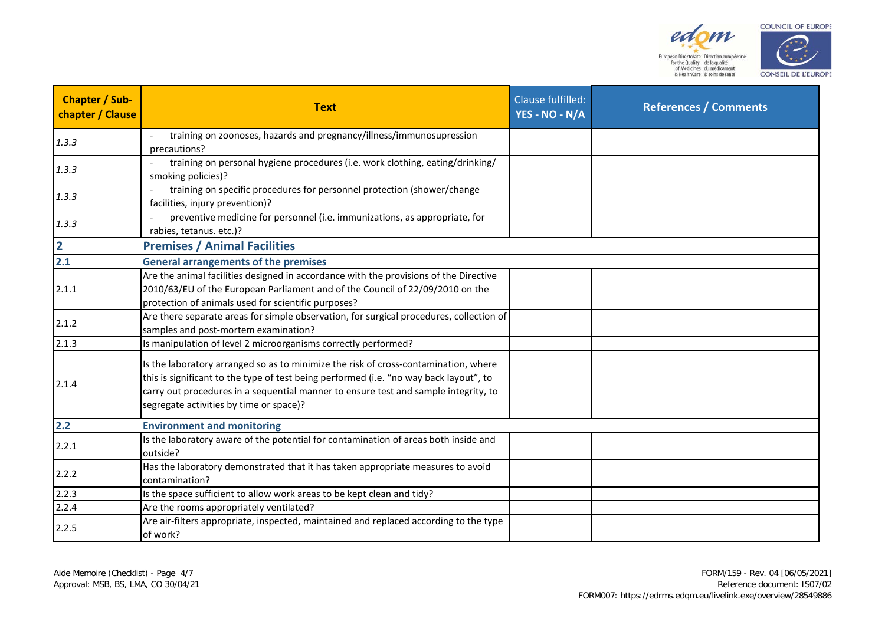



| <b>Chapter / Sub-</b><br>chapter / Clause | <b>Text</b>                                                                                                                                                                                                                                                                                                     | Clause fulfilled:<br>YES - NO - N/A | <b>References / Comments</b> |
|-------------------------------------------|-----------------------------------------------------------------------------------------------------------------------------------------------------------------------------------------------------------------------------------------------------------------------------------------------------------------|-------------------------------------|------------------------------|
| 1.3.3                                     | training on zoonoses, hazards and pregnancy/illness/immunosupression<br>precautions?                                                                                                                                                                                                                            |                                     |                              |
| 1.3.3                                     | training on personal hygiene procedures (i.e. work clothing, eating/drinking/<br>smoking policies)?                                                                                                                                                                                                             |                                     |                              |
| 1.3.3                                     | training on specific procedures for personnel protection (shower/change<br>facilities, injury prevention)?                                                                                                                                                                                                      |                                     |                              |
| 1.3.3                                     | preventive medicine for personnel (i.e. immunizations, as appropriate, for<br>rabies, tetanus. etc.)?                                                                                                                                                                                                           |                                     |                              |
| $\overline{2}$                            | <b>Premises / Animal Facilities</b>                                                                                                                                                                                                                                                                             |                                     |                              |
| 2.1                                       | <b>General arrangements of the premises</b>                                                                                                                                                                                                                                                                     |                                     |                              |
| 2.1.1                                     | Are the animal facilities designed in accordance with the provisions of the Directive<br>2010/63/EU of the European Parliament and of the Council of 22/09/2010 on the<br>protection of animals used for scientific purposes?                                                                                   |                                     |                              |
| 2.1.2                                     | Are there separate areas for simple observation, for surgical procedures, collection of<br>samples and post-mortem examination?                                                                                                                                                                                 |                                     |                              |
| 2.1.3                                     | Is manipulation of level 2 microorganisms correctly performed?                                                                                                                                                                                                                                                  |                                     |                              |
| 2.1.4                                     | Is the laboratory arranged so as to minimize the risk of cross-contamination, where<br>this is significant to the type of test being performed (i.e. "no way back layout", to<br>carry out procedures in a sequential manner to ensure test and sample integrity, to<br>segregate activities by time or space)? |                                     |                              |
| 2.2                                       | <b>Environment and monitoring</b>                                                                                                                                                                                                                                                                               |                                     |                              |
| 2.2.1                                     | Is the laboratory aware of the potential for contamination of areas both inside and<br>outside?                                                                                                                                                                                                                 |                                     |                              |
| 2.2.2                                     | Has the laboratory demonstrated that it has taken appropriate measures to avoid<br>contamination?                                                                                                                                                                                                               |                                     |                              |
| 2.2.3                                     | Is the space sufficient to allow work areas to be kept clean and tidy?                                                                                                                                                                                                                                          |                                     |                              |
| 2.2.4                                     | Are the rooms appropriately ventilated?                                                                                                                                                                                                                                                                         |                                     |                              |
| 2.2.5                                     | Are air-filters appropriate, inspected, maintained and replaced according to the type<br>of work?                                                                                                                                                                                                               |                                     |                              |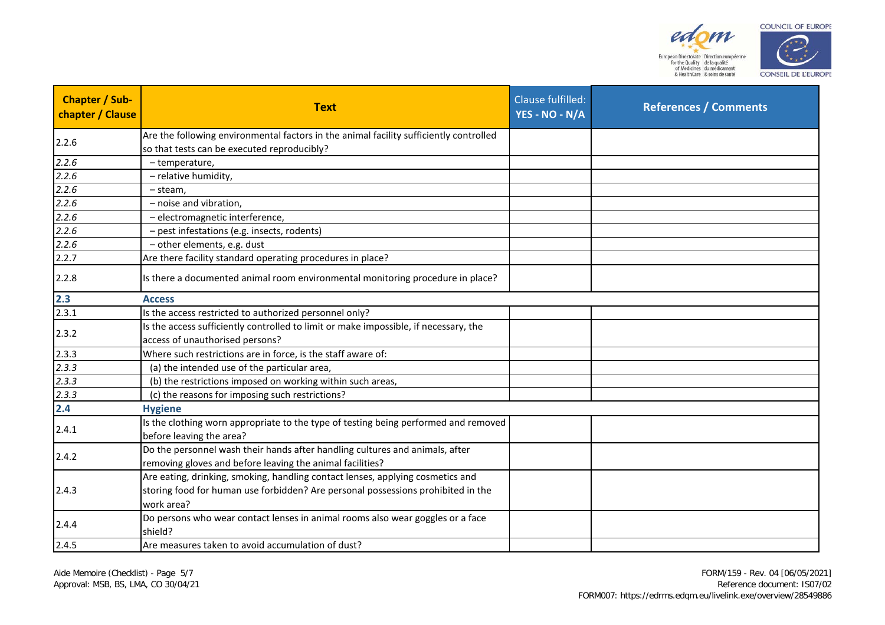



| Chapter / Sub-<br>chapter / Clause | <b>Text</b>                                                                                                                                                                      | Clause fulfilled:<br>YES - NO - N/A | <b>References / Comments</b> |
|------------------------------------|----------------------------------------------------------------------------------------------------------------------------------------------------------------------------------|-------------------------------------|------------------------------|
| 2.2.6                              | Are the following environmental factors in the animal facility sufficiently controlled<br>so that tests can be executed reproducibly?                                            |                                     |                              |
| 2.2.6                              | - temperature,                                                                                                                                                                   |                                     |                              |
| 2.2.6                              | - relative humidity,                                                                                                                                                             |                                     |                              |
| 2.2.6                              | - steam,                                                                                                                                                                         |                                     |                              |
| 2.2.6                              | - noise and vibration,                                                                                                                                                           |                                     |                              |
| 2.2.6                              | - electromagnetic interference,                                                                                                                                                  |                                     |                              |
| 2.2.6                              | - pest infestations (e.g. insects, rodents)                                                                                                                                      |                                     |                              |
| 2.2.6                              | - other elements, e.g. dust                                                                                                                                                      |                                     |                              |
| 2.2.7                              | Are there facility standard operating procedures in place?                                                                                                                       |                                     |                              |
| 2.2.8                              | Is there a documented animal room environmental monitoring procedure in place?                                                                                                   |                                     |                              |
|                                    | <b>Access</b>                                                                                                                                                                    |                                     |                              |
| $\frac{2.3}{2.3.1}$                | Is the access restricted to authorized personnel only?                                                                                                                           |                                     |                              |
|                                    | Is the access sufficiently controlled to limit or make impossible, if necessary, the                                                                                             |                                     |                              |
| 2.3.2                              | access of unauthorised persons?                                                                                                                                                  |                                     |                              |
| 2.3.3                              | Where such restrictions are in force, is the staff aware of:                                                                                                                     |                                     |                              |
| 2.3.3                              | (a) the intended use of the particular area,                                                                                                                                     |                                     |                              |
| 2.3.3                              | (b) the restrictions imposed on working within such areas,                                                                                                                       |                                     |                              |
| 2.3.3                              | (c) the reasons for imposing such restrictions?                                                                                                                                  |                                     |                              |
| 2.4                                | <b>Hygiene</b>                                                                                                                                                                   |                                     |                              |
| 2.4.1                              | Is the clothing worn appropriate to the type of testing being performed and removed<br>before leaving the area?                                                                  |                                     |                              |
| 2.4.2                              | Do the personnel wash their hands after handling cultures and animals, after<br>removing gloves and before leaving the animal facilities?                                        |                                     |                              |
| 2.4.3                              | Are eating, drinking, smoking, handling contact lenses, applying cosmetics and<br>storing food for human use forbidden? Are personal possessions prohibited in the<br>work area? |                                     |                              |
| 2.4.4                              | Do persons who wear contact lenses in animal rooms also wear goggles or a face<br>shield?                                                                                        |                                     |                              |
| 2.4.5                              | Are measures taken to avoid accumulation of dust?                                                                                                                                |                                     |                              |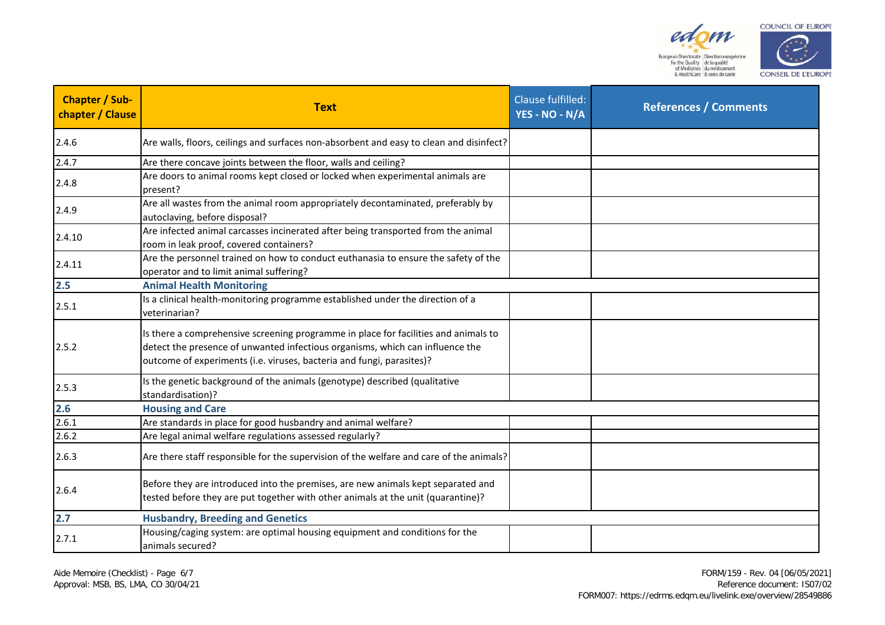



| <b>Text</b>                                                                                                                                                                                                                                   | <b>Clause fulfilled:</b><br>YES - NO - N/A | <b>References / Comments</b>                                                                                                                                                       |
|-----------------------------------------------------------------------------------------------------------------------------------------------------------------------------------------------------------------------------------------------|--------------------------------------------|------------------------------------------------------------------------------------------------------------------------------------------------------------------------------------|
|                                                                                                                                                                                                                                               |                                            |                                                                                                                                                                                    |
| Are there concave joints between the floor, walls and ceiling?                                                                                                                                                                                |                                            |                                                                                                                                                                                    |
| Are doors to animal rooms kept closed or locked when experimental animals are<br>present?                                                                                                                                                     |                                            |                                                                                                                                                                                    |
| Are all wastes from the animal room appropriately decontaminated, preferably by<br>autoclaving, before disposal?                                                                                                                              |                                            |                                                                                                                                                                                    |
| Are infected animal carcasses incinerated after being transported from the animal<br>room in leak proof, covered containers?                                                                                                                  |                                            |                                                                                                                                                                                    |
| Are the personnel trained on how to conduct euthanasia to ensure the safety of the<br>operator and to limit animal suffering?                                                                                                                 |                                            |                                                                                                                                                                                    |
| <b>Animal Health Monitoring</b>                                                                                                                                                                                                               |                                            |                                                                                                                                                                                    |
| Is a clinical health-monitoring programme established under the direction of a<br>veterinarian?                                                                                                                                               |                                            |                                                                                                                                                                                    |
| Is there a comprehensive screening programme in place for facilities and animals to<br>detect the presence of unwanted infectious organisms, which can influence the<br>outcome of experiments (i.e. viruses, bacteria and fungi, parasites)? |                                            |                                                                                                                                                                                    |
| Is the genetic background of the animals (genotype) described (qualitative<br>standardisation)?                                                                                                                                               |                                            |                                                                                                                                                                                    |
| <b>Housing and Care</b>                                                                                                                                                                                                                       |                                            |                                                                                                                                                                                    |
| Are standards in place for good husbandry and animal welfare?                                                                                                                                                                                 |                                            |                                                                                                                                                                                    |
| Are legal animal welfare regulations assessed regularly?                                                                                                                                                                                      |                                            |                                                                                                                                                                                    |
|                                                                                                                                                                                                                                               |                                            |                                                                                                                                                                                    |
| Before they are introduced into the premises, are new animals kept separated and<br>tested before they are put together with other animals at the unit (quarantine)?                                                                          |                                            |                                                                                                                                                                                    |
| <b>Husbandry, Breeding and Genetics</b>                                                                                                                                                                                                       |                                            |                                                                                                                                                                                    |
| Housing/caging system: are optimal housing equipment and conditions for the<br>animals secured?                                                                                                                                               |                                            |                                                                                                                                                                                    |
|                                                                                                                                                                                                                                               |                                            | Are walls, floors, ceilings and surfaces non-absorbent and easy to clean and disinfect?<br>Are there staff responsible for the supervision of the welfare and care of the animals? |